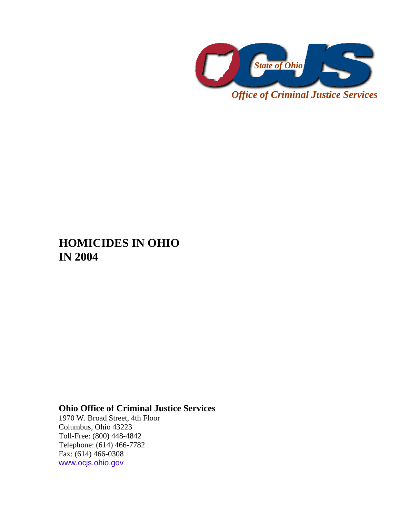

*Office of Criminal Justice Services* 

# **HOMICIDES IN OHIO IN 2004**

## **Ohio Office of Criminal Justice Services**

1970 W. Broad Street, 4th Floor Columbus, Ohio 43223 Toll-Free: (800) 448-4842 Telephone: (614) 466-7782 Fax: (614) 466-0308 www.ocjs.ohio.gov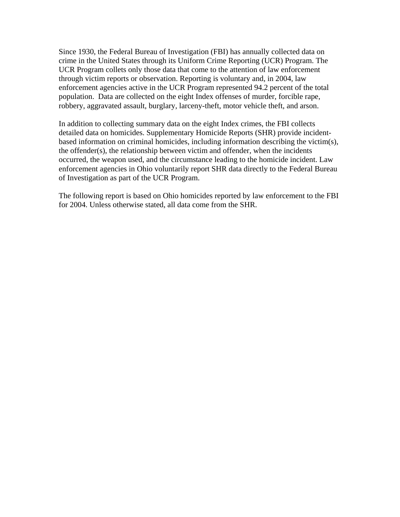Since 1930, the Federal Bureau of Investigation (FBI) has annually collected data on crime in the United States through its Uniform Crime Reporting (UCR) Program. The UCR Program collets only those data that come to the attention of law enforcement through victim reports or observation. Reporting is voluntary and, in 2004, law enforcement agencies active in the UCR Program represented 94.2 percent of the total population. Data are collected on the eight Index offenses of murder, forcible rape, robbery, aggravated assault, burglary, larceny-theft, motor vehicle theft, and arson.

In addition to collecting summary data on the eight Index crimes, the FBI collects detailed data on homicides. Supplementary Homicide Reports (SHR) provide incidentbased information on criminal homicides, including information describing the victim(s), the offender(s), the relationship between victim and offender, when the incidents occurred, the weapon used, and the circumstance leading to the homicide incident. Law enforcement agencies in Ohio voluntarily report SHR data directly to the Federal Bureau of Investigation as part of the UCR Program.

The following report is based on Ohio homicides reported by law enforcement to the FBI for 2004. Unless otherwise stated, all data come from the SHR.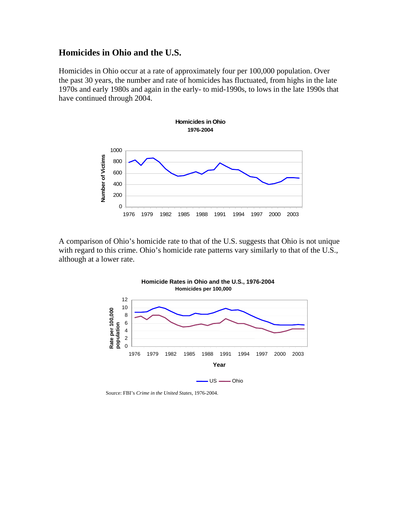#### **Homicides in Ohio and the U.S.**

Homicides in Ohio occur at a rate of approximately four per 100,000 population. Over the past 30 years, the number and rate of homicides has fluctuated, from highs in the late 1970s and early 1980s and again in the early- to mid-1990s, to lows in the late 1990s that have continued through 2004.



A comparison of Ohio's homicide rate to that of the U.S. suggests that Ohio is not unique with regard to this crime. Ohio's homicide rate patterns vary similarly to that of the U.S., although at a lower rate.



Source: FBI's *Crime in the United States*, 1976-2004.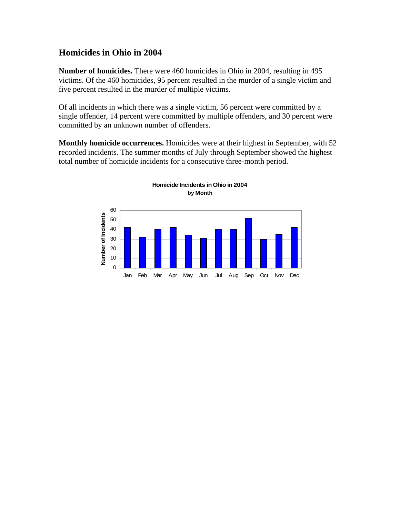#### **Homicides in Ohio in 2004**

**Number of homicides.** There were 460 homicides in Ohio in 2004, resulting in 495 victims. Of the 460 homicides, 95 percent resulted in the murder of a single victim and five percent resulted in the murder of multiple victims.

Of all incidents in which there was a single victim, 56 percent were committed by a single offender, 14 percent were committed by multiple offenders, and 30 percent were committed by an unknown number of offenders.

**Monthly homicide occurrences.** Homicides were at their highest in September, with 52 recorded incidents. The summer months of July through September showed the highest total number of homicide incidents for a consecutive three-month period.

**Homicide Incidents in Ohio in 2004**

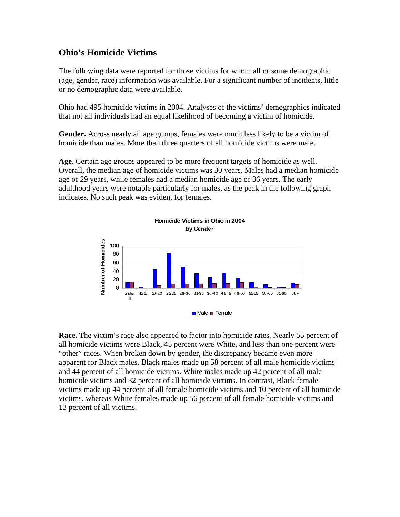### **Ohio's Homicide Victims**

The following data were reported for those victims for whom all or some demographic (age, gender, race) information was available. For a significant number of incidents, little or no demographic data were available.

Ohio had 495 homicide victims in 2004. Analyses of the victims' demographics indicated that not all individuals had an equal likelihood of becoming a victim of homicide.

**Gender.** Across nearly all age groups, females were much less likely to be a victim of homicide than males. More than three quarters of all homicide victims were male.

**Age**. Certain age groups appeared to be more frequent targets of homicide as well. Overall, the median age of homicide victims was 30 years. Males had a median homicide age of 29 years, while females had a median homicide age of 36 years. The early adulthood years were notable particularly for males, as the peak in the following graph indicates. No such peak was evident for females.



**Race.** The victim's race also appeared to factor into homicide rates. Nearly 55 percent of all homicide victims were Black, 45 percent were White, and less than one percent were "other" races. When broken down by gender, the discrepancy became even more apparent for Black males. Black males made up 58 percent of all male homicide victims and 44 percent of all homicide victims. White males made up 42 percent of all male homicide victims and 32 percent of all homicide victims. In contrast, Black female victims made up 44 percent of all female homicide victims and 10 percent of all homicide victims, whereas White females made up 56 percent of all female homicide victims and 13 percent of all victims.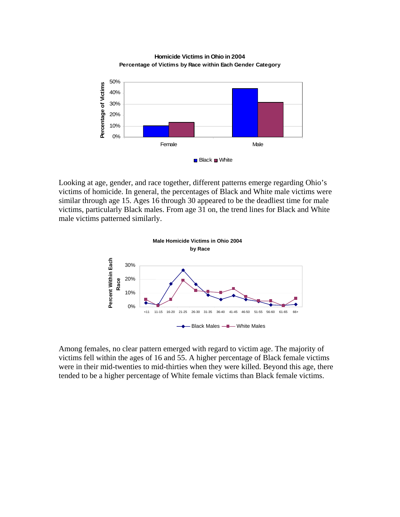

**Homicide Victims in Ohio in 2004 Percentage of Victims by Race within Each Gender Category**

Looking at age, gender, and race together, different patterns emerge regarding Ohio's victims of homicide. In general, the percentages of Black and White male victims were similar through age 15. Ages 16 through 30 appeared to be the deadliest time for male victims, particularly Black males. From age 31 on, the trend lines for Black and White male victims patterned similarly.



Among females, no clear pattern emerged with regard to victim age. The majority of victims fell within the ages of 16 and 55. A higher percentage of Black female victims were in their mid-twenties to mid-thirties when they were killed. Beyond this age, there tended to be a higher percentage of White female victims than Black female victims.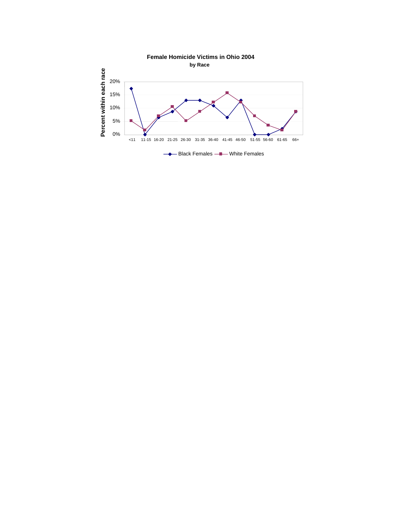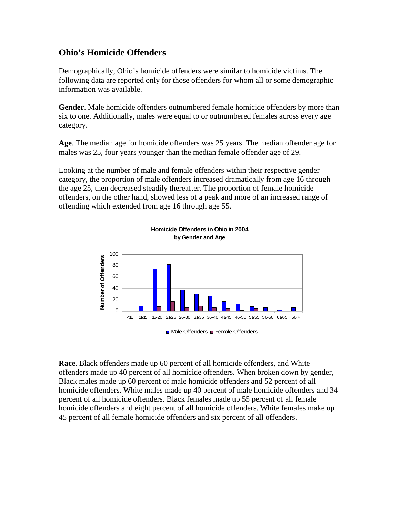#### **Ohio's Homicide Offenders**

Demographically, Ohio's homicide offenders were similar to homicide victims. The following data are reported only for those offenders for whom all or some demographic information was available.

**Gender**. Male homicide offenders outnumbered female homicide offenders by more than six to one. Additionally, males were equal to or outnumbered females across every age category.

**Age**. The median age for homicide offenders was 25 years. The median offender age for males was 25, four years younger than the median female offender age of 29.

Looking at the number of male and female offenders within their respective gender category, the proportion of male offenders increased dramatically from age 16 through the age 25, then decreased steadily thereafter. The proportion of female homicide offenders, on the other hand, showed less of a peak and more of an increased range of offending which extended from age 16 through age 55.



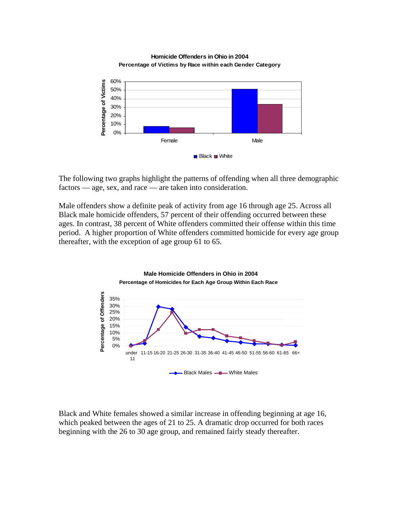



The following two graphs highlight the patterns of offending when all three demographic factors — age, sex, and race — are taken into consideration.

Male offenders show a definite peak of activity from age 16 through age 25. Across all Black male homicide offenders, 57 percent of their offending occurred between these ages. In contrast, 38 percent of White offenders committed their offense within this time period. A higher proportion of White offenders committed homicide for every age group thereafter, with the exception of age group 61 to 65.



Black and White females showed a similar increase in offending beginning at age 16, which peaked between the ages of 21 to 25. A dramatic drop occurred for both races beginning with the 26 to 30 age group, and remained fairly steady thereafter.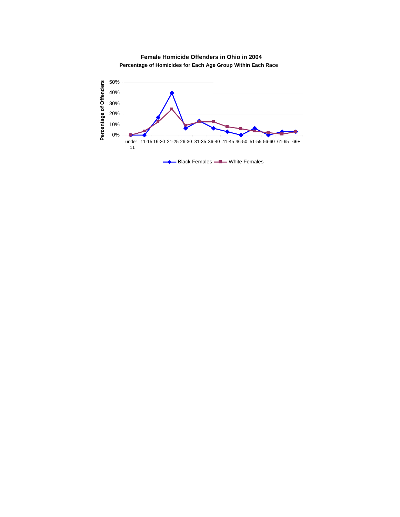

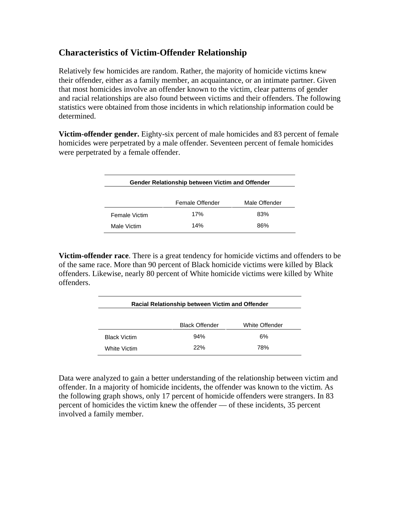### **Characteristics of Victim-Offender Relationship**

Relatively few homicides are random. Rather, the majority of homicide victims knew their offender, either as a family member, an acquaintance, or an intimate partner. Given that most homicides involve an offender known to the victim, clear patterns of gender and racial relationships are also found between victims and their offenders. The following statistics were obtained from those incidents in which relationship information could be determined.

**Victim-offender gender.** Eighty-six percent of male homicides and 83 percent of female homicides were perpetrated by a male offender. Seventeen percent of female homicides were perpetrated by a female offender.

| Gender Relationship between Victim and Offender |                 |               |
|-------------------------------------------------|-----------------|---------------|
|                                                 |                 |               |
|                                                 | Female Offender | Male Offender |
| <b>Female Victim</b>                            | 17%             | 83%           |
| Male Victim                                     | 14%             | 86%           |

**Victim-offender race**. There is a great tendency for homicide victims and offenders to be of the same race. More than 90 percent of Black homicide victims were killed by Black offenders. Likewise, nearly 80 percent of White homicide victims were killed by White offenders.

| Racial Relationship between Victim and Offender |                       |                |
|-------------------------------------------------|-----------------------|----------------|
|                                                 | <b>Black Offender</b> | White Offender |
| <b>Black Victim</b>                             | 94%                   | 6%             |
| White Victim                                    | 22%                   | 78%            |

Data were analyzed to gain a better understanding of the relationship between victim and offender. In a majority of homicide incidents, the offender was known to the victim. As the following graph shows, only 17 percent of homicide offenders were strangers. In 83 percent of homicides the victim knew the offender — of these incidents, 35 percent involved a family member.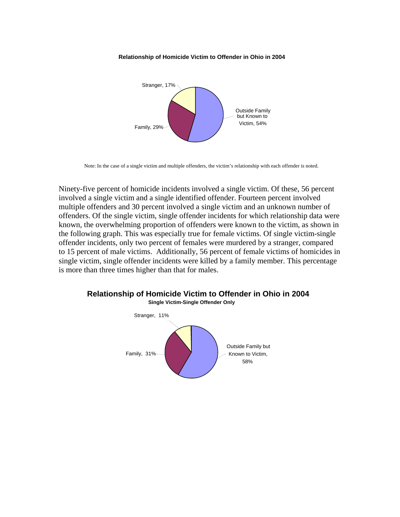#### **Relationship of Homicide Victim to Offender in Ohio in 2004**



Note: In the case of a single victim and multiple offenders, the victim's relationship with each offender is noted.

Ninety-five percent of homicide incidents involved a single victim. Of these, 56 percent involved a single victim and a single identified offender. Fourteen percent involved multiple offenders and 30 percent involved a single victim and an unknown number of offenders. Of the single victim, single offender incidents for which relationship data were known, the overwhelming proportion of offenders were known to the victim, as shown in the following graph. This was especially true for female victims. Of single victim-single offender incidents, only two percent of females were murdered by a stranger, compared to 15 percent of male victims. Additionally, 56 percent of female victims of homicides in single victim, single offender incidents were killed by a family member. This percentage is more than three times higher than that for males.



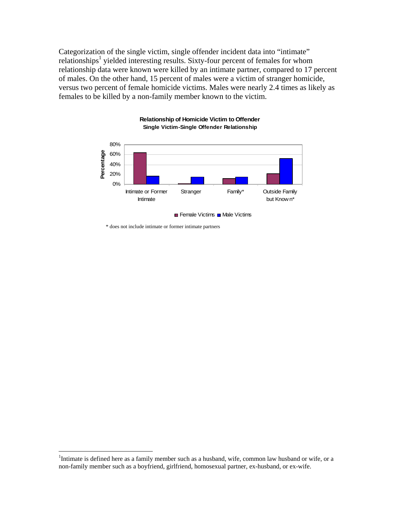Categorization of the single victim, single offender incident data into "intimate" relationships<sup>1</sup> yielded interesting results. Sixty-four percent of females for whom relationship data were known were killed by an intimate partner, compared to 17 percent of males. On the other hand, 15 percent of males were a victim of stranger homicide, versus two percent of female homicide victims. Males were nearly 2.4 times as likely as females to be killed by a non-family member known to the victim.



**Relationship of Homicide Victim to Offender Single Victim-Single Offender Relationship** 

\* does not include intimate or former intimate partners

 $\overline{a}$ 

<sup>&</sup>lt;sup>1</sup>Intimate is defined here as a family member such as a husband, wife, common law husband or wife, or a non-family member such as a boyfriend, girlfriend, homosexual partner, ex-husband, or ex-wife.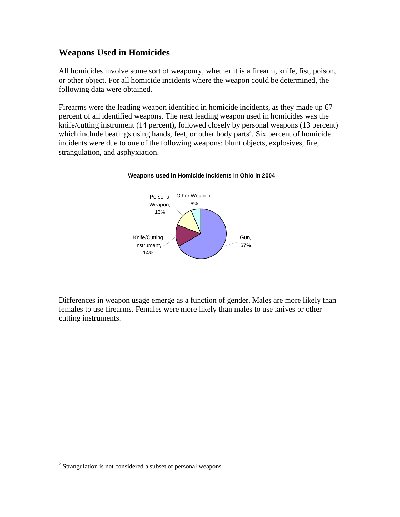### **Weapons Used in Homicides**

All homicides involve some sort of weaponry, whether it is a firearm, knife, fist, poison, or other object. For all homicide incidents where the weapon could be determined, the following data were obtained.

Firearms were the leading weapon identified in homicide incidents, as they made up 67 percent of all identified weapons. The next leading weapon used in homicides was the knife/cutting instrument (14 percent), followed closely by personal weapons (13 percent) which include beatings using hands, feet, or other body parts<sup>2</sup>. Six percent of homicide incidents were due to one of the following weapons: blunt objects, explosives, fire, strangulation, and asphyxiation.

#### **Weapons used in Homicide Incidents in Ohio in 2004**



Differences in weapon usage emerge as a function of gender. Males are more likely than females to use firearms. Females were more likely than males to use knives or other cutting instruments.

 $\overline{a}$ 

 $2$  Strangulation is not considered a subset of personal weapons.